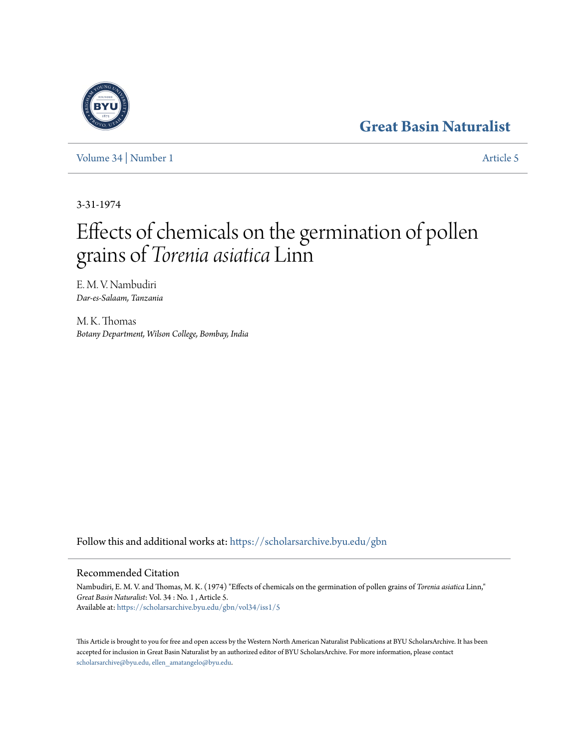## **[Great Basin Naturalist](https://scholarsarchive.byu.edu/gbn?utm_source=scholarsarchive.byu.edu%2Fgbn%2Fvol34%2Fiss1%2F5&utm_medium=PDF&utm_campaign=PDFCoverPages)**

[Volume 34](https://scholarsarchive.byu.edu/gbn/vol34?utm_source=scholarsarchive.byu.edu%2Fgbn%2Fvol34%2Fiss1%2F5&utm_medium=PDF&utm_campaign=PDFCoverPages) | [Number 1](https://scholarsarchive.byu.edu/gbn/vol34/iss1?utm_source=scholarsarchive.byu.edu%2Fgbn%2Fvol34%2Fiss1%2F5&utm_medium=PDF&utm_campaign=PDFCoverPages) [Article 5](https://scholarsarchive.byu.edu/gbn/vol34/iss1/5?utm_source=scholarsarchive.byu.edu%2Fgbn%2Fvol34%2Fiss1%2F5&utm_medium=PDF&utm_campaign=PDFCoverPages)

3-31-1974

# Effects of chemicals on the germination of pollen grains of *Torenia asiatica* Linn

E. M. V. Nambudiri *Dar-es-Salaam, Tanzania*

M. K. Thomas *Botany Department, Wilson College, Bombay, India*

Follow this and additional works at: [https://scholarsarchive.byu.edu/gbn](https://scholarsarchive.byu.edu/gbn?utm_source=scholarsarchive.byu.edu%2Fgbn%2Fvol34%2Fiss1%2F5&utm_medium=PDF&utm_campaign=PDFCoverPages)

### Recommended Citation

Nambudiri, E. M. V. and Thomas, M. K. (1974) "Effects of chemicals on the germination of pollen grains of *Torenia asiatica* Linn," *Great Basin Naturalist*: Vol. 34 : No. 1 , Article 5. Available at: [https://scholarsarchive.byu.edu/gbn/vol34/iss1/5](https://scholarsarchive.byu.edu/gbn/vol34/iss1/5?utm_source=scholarsarchive.byu.edu%2Fgbn%2Fvol34%2Fiss1%2F5&utm_medium=PDF&utm_campaign=PDFCoverPages)

This Article is brought to you for free and open access by the Western North American Naturalist Publications at BYU ScholarsArchive. It has been accepted for inclusion in Great Basin Naturalist by an authorized editor of BYU ScholarsArchive. For more information, please contact [scholarsarchive@byu.edu, ellen\\_amatangelo@byu.edu.](mailto:scholarsarchive@byu.edu,%20ellen_amatangelo@byu.edu)

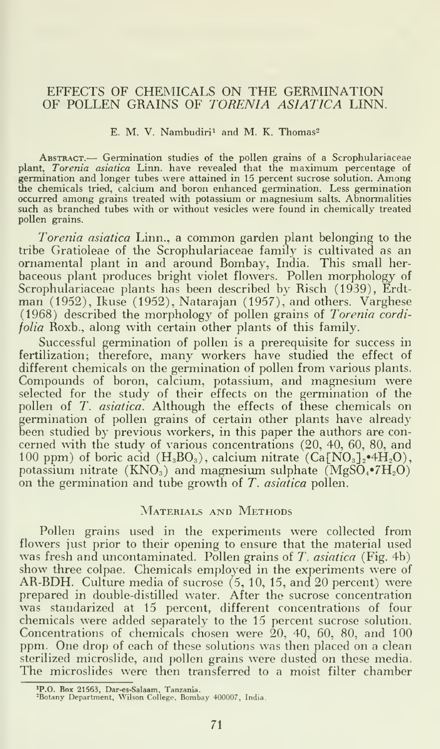#### EFFECTS OF CHEMICALS ON THE GERMINATION OF POLLEN GRAINS OF TORENIA ASIATICA LINN.

#### E. M. V. Nambudiri<sup>1</sup> and M. K. Thomas<sup>2</sup>

ABSTRACT.— Germination studies of the pollen grains of a Scrophulariaceae plant, Torenia asiatica Linn, have revealed that the maximum percentage of germination and longer tubes were attained in 15 percent sucrose solution. Among<br>the chemicals tried, calcium and boron enhanced germination. Less germination<br>occurred among grains treated with potassium or magnesium salts such as branched tubes with or without vesicles were found in chemically treated pollen grains.

Torenia asiatica Linn., <sup>a</sup> common garden plant belonging to the tribe Gratioleae of the Scrophulariaceae family is cultivated as an ornamental plant in and around Bombay, India. This small herbaceous plant produces bright violet flowers. Pollen morphology of Scrophulariaceae plants has been described by Risch (1939), Erdtman (1952), Ikuse (1952), Natarajan (1957), and others. Varghese (1968) described the morphology of pollen grains of Torenia cordifolia Roxb., along with certain other plants of this family.

Successful germination of pollen is a prerequisite for success in fertilization; therefore, many workers have studied the effect of different chemicals on the germination of pollen from various plants. Compounds of boron, calcium, potassium, and magnesium were selected for the study of their effects on the germination of the pollen of *T. asiatica*. Although the effects of these chemicals on germination of pollen grains of certain other plants have already been studied by previous workers, in this paper the authors are con cerned with the study of various concentrations (20, 40, 60, 80, and 100 ppm) of boric acid  $(H_3BO_3)$ , calcium nitrate  $(Ca[NO_3]_2^{\bullet}AH_2O)$ , potassium nitrate  $(KNO<sub>3</sub>)$  and magnesium sulphate  $(MgSO<sub>4</sub>•7H<sub>2</sub>O)$ on the germination and tube growth of T. asiatica pollen.

#### MATERIALS AND METHODS

Pollen grains used in the experiments were collected from flowers just prior to their opening to ensure that the material used was fresh and uncontaminated. Pollen grains of  $T$ .  $asiatica$  (Fig. 4b) show three colpae. Chemicals employed in the experiments were of AR-BDH. Culture media of sucrose  $(5, 10, 15,$  and 20 percent) were prepared in double-distilled water. After the sucrose concentration was standarized at 15 percent, different concentrations of four chemicals were added separately to the 15 percent sucrose solution. Concentrations of chemicals chosen were 20, 40, 60, 80, and 100 ppm. One drop of each of these solutions was then placed on a clean sterilized microslide, and pollen grains were dusted on these media. The microslides were then transferred to <sup>a</sup> moist filter chamber

<sup>&#</sup>x27;P.O. Box 21563, Dar-es-Salaam, Tanzania. -Botany Department, Wilson College, Bombay 400007, India.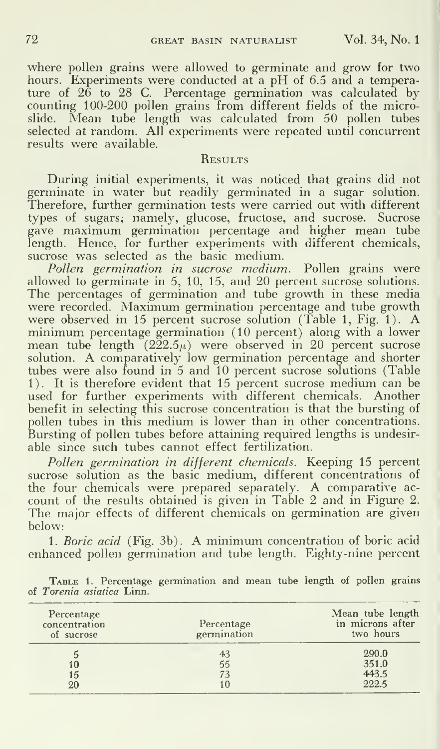where pollen grains were allowed to germinate and grow for two hours. Experiments were conducted at a pH of 6.5 and a temperature of 26 to 28 C. Percentage germination was calculated by counting 100-200 pollen grains from different fields of the microslide. Mean tube length was calculated from 50 pollen tubes selected at random. All experiments were repeated until concurrent results were available.

#### **RESULTS**

During initial experiments, it was noticed that grains did not germinate in water but readily germinated in a sugar solution. Therefore, further germination tests were carried out with different types of sugars; namely, glucose, fructose, and sucrose. Sucrose gave maximum germination percentage and higher mean tube length. Hence, for further experiments with different chemicals, sucrose was selected as the basic medium.<br>Pollen germination in sucrose medium. Pollen grains were

Pollen germination in sucrose medium. allowed to germinate in 5, 10, 15, and 20 percent sucrose solutions. The percentages of germination and tube growth in these media were recorded. Maximum germination percentage and tube growth were observed in <sup>15</sup> percent sucrose solution (Table 1, Fig. 1). A minimum percentage germination (10 percent) along with <sup>a</sup> lower mean tube length  $(222.5\mu)$  were observed in 20 percent sucrose solution. A comparatively low germination percentage and shorter tubes were also found in 5 and 10 percent sucrose solutions (Table 1). It is therefore evident that 15 percent sucrose medium can be used for further experiments with different chemicals. Another benefit in selecting this sucrose concentration is that the bursting of pollen tubes in this medium is lower than in other concentrations. Bursting of pollen tubes before attaining required lengths is undesirable since such tubes cannot effect fertilization.

Pollen germination in different chemicals. Keeping 15 percent sucrose solution as the basic medium, different concentrations of the four chemicals were prepared separately. A comparative ac count of the results obtained is given in Table 2 and in Figure 2. The major effects of different chemicals on germination are given below:

1. Boric acid (Fig. 3b). A minimum concentration of boric acid enhanced pollen germination and tube length. Eighty-nine percent

| Percentage<br>concentration<br>of sucrose | Percentage<br>germination | Mean tube length<br>in microns after<br>two hours |
|-------------------------------------------|---------------------------|---------------------------------------------------|
| 5                                         | 43                        | 290.0                                             |
| 10                                        | 55                        | 351.0                                             |
| 15                                        | 73                        | 443.5                                             |
| 20                                        |                           | 222.5                                             |

TABLE 1. Percentage germination and mean tube length of pollen grains of Torenia asiatica Linn.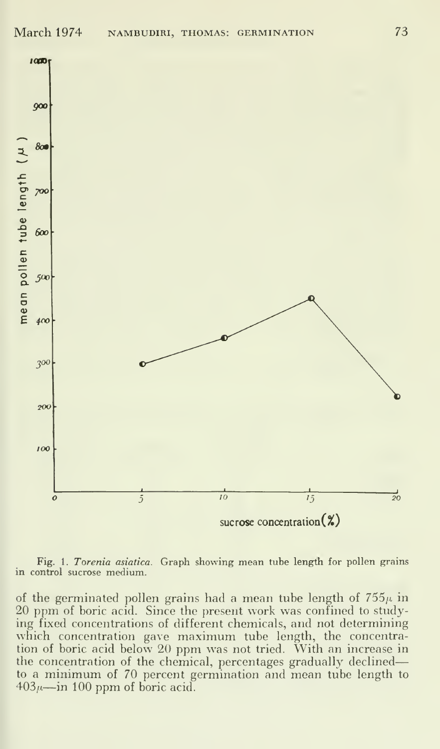

Fig. 1. Torenia asiatica. Graph showing mean tube length for pollen grains in control sucrose medium.

of the germinated pollen grains had a mean tube length of  $755\mu$  in 20 ppm of boric acid. Since the present work was confined to studying fixed concentrations of different chemicals, and not determining which concentration gave maximum tube length, the concentration of boric acid below 20 ppm was not tried. With an increase in the concentration of the chemical, percentages gradually declinedto a minimum of 70 percent germination and mean tube length to  $403\mu$ —in 100 ppm of boric acid.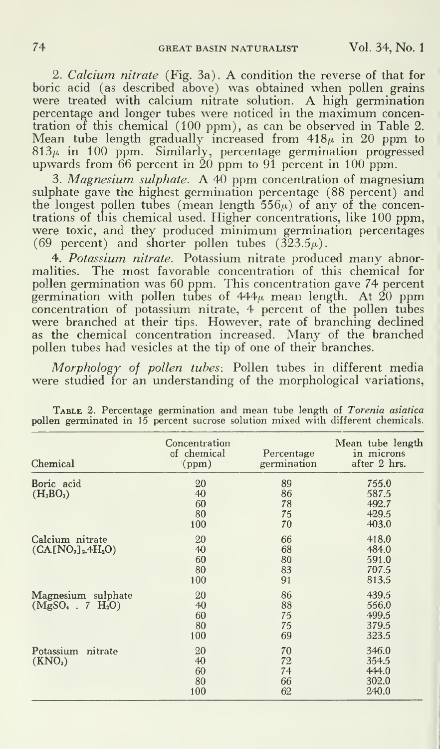2. Calcium nitrate (Fig. 3a). A condition the reverse of that for boric acid (as described above) was obtained when pollen grains were treated with calcium nitrate solution. A high germination percentage and longer tubes were noticed in the maximum concentration of this chemical (100 ppm), as can be observed in Table 2. tration of this chemical (100 ppm), as can be observed in Table 2. Mean tube length gradually increased from 418 $\mu$  in 20 ppm to  $813\mu$  in  $100$  ppm. Similarly, percentage germination progressed  $$ upwards from  $66$  percent in  $20$   ${\rm \bar{p}pn}$  to  $91$   ${\rm \bar{p}ercent}$  in  $100$   ${\rm \bar{p}pm}.$ 

3. Magnesium sulphate. A 40 ppm concentration of magnesium sulphate gave the highest germination percentage (88 percent) and the longest pollen tubes (mean length  $556\mu$ ) of any of the concentrations of this chemical used. Higher concentrations, like 100 ppm, were toxic, and they produced minimum germination percentages (69 percent) and shorter pollen tubes  $(323.5\mu)$ .

4. Potassium nitrate. Potassium nitrate produced many abnormalities. The most favorable concentration of this chemical for pollen germination was 60 ppm. This concentration gave 74 percent germination with pollen tubes of 444 $\mu$  mean length. At  $\widehat{20}$  ppm concentration of potassium nitrate, 4 percent of the pollen tubes were branched at their tips. However, rate of branching declined as the chemical concentration increased. Many of the branched pollen tubes had vesicles at the tip of one of their branches.

Morphology of pollen tubes: Pollen tubes in different media were studied for an understanding of the morphological variations,

| Chemical                                  | Concentration<br>of chemical<br>(ppm) | Percentage<br>germination  | Mean tube length<br>in microns<br>after 2 hrs. |
|-------------------------------------------|---------------------------------------|----------------------------|------------------------------------------------|
| Boric acid<br>$(H_3BO_3)$                 | 20<br>40<br>60<br>80<br>100           | 89<br>86<br>78<br>75<br>70 | 755.0<br>587.5<br>492.7<br>429.5<br>403.0      |
| Calcium nitrate<br>$(CA[NO3]2.4H2O)$      | 20<br>40<br>60<br>80<br>100           | 66<br>68<br>80<br>83<br>91 | 418.0<br>484.0<br>591.0<br>707.5<br>813.5      |
| Magnesium sulphate<br>$(MgSO_4 . 7 H_2O)$ | 20<br>40<br>60<br>80<br>100           | 86<br>88<br>75<br>75<br>69 | 439.5<br>556.0<br>499.5<br>379.5<br>323.5      |
| Potassium nitrate<br>(KNO <sub>3</sub> )  | 20<br>40<br>60<br>80<br>100           | 70<br>72<br>74<br>66<br>62 | 346.0<br>354.5<br>444.0<br>302.0<br>240.0      |

TABLE 2. Percentage germination and mean tube length of Torenia asiatica pollen germinated in 15 percent sucrose solution mixed with different chemicals.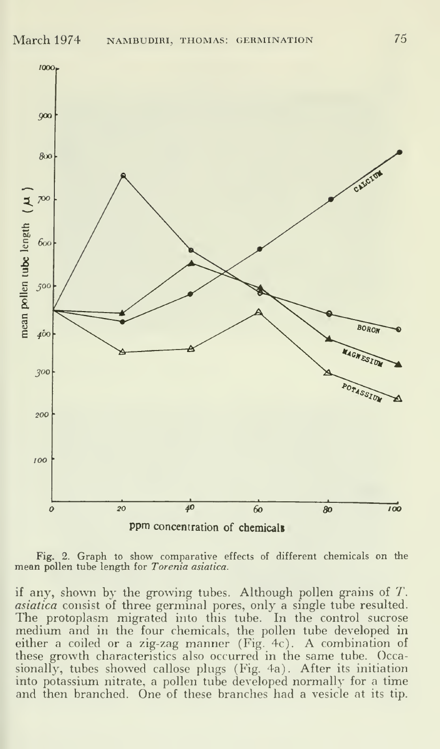

Fig. 2. Graph to show comparative effects of different chemicals on the mean pollen tube length for Torenia asiatica.

if any, shown by the growing tubes. Although pollen grains of  $T$ . asiatica consist of three germinal pores, only a single tube resulted. The protoplasm migrated into this tube. In the control sucrose medium and in the four chemicals, the pollen tube developed in either <sup>a</sup> coiled or <sup>a</sup> zig-zag manner (Fig. 4c). A combination of these growth characteristics also occurred in the same tube. Occasionally, tubes showed callose plugs (Fig. 4a). After its initiation into potassium nitrate, a pollen tube developed normally for a time and then branched. One of these branches had a vesicle at its tip.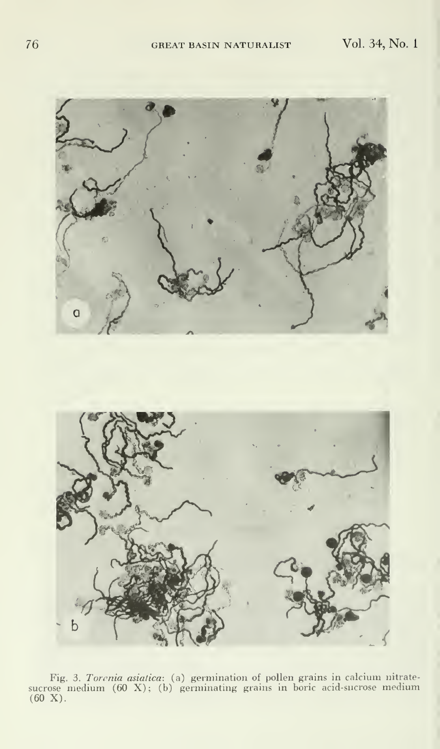

Fig. 3. Torenia asiatica: (a) germination of pollen grains in calcium nitrate-<br>sucrose medium (60 X); (b) germinating grains in boric acid-sucrose medium<br>(60 X).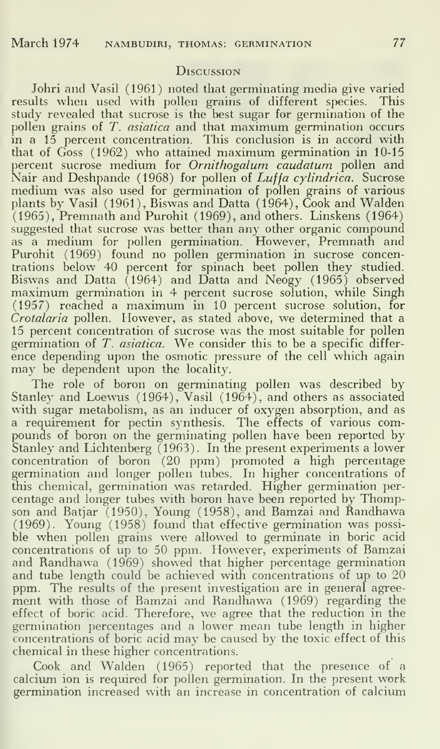#### **D**ISCUSSION

Johri and Vasil (1961) noted that germinating media give varied resuhs when used with pollen grains of different species. This study revealed that sucrose is the best sugar for germination of the pollen grains of T. asiatica and that maximum germination occurs in a 15 percent concentration. This conclusion is in accord with that of Goss (1962) who attained maximum germination in 10-15 percent sucrose medium for Ornithogalum caudatum pollen and Nair and Deshpande (1968) for pollen of Luffa cylindrica. Sucrose medium was also used for germination of pollen grains of various plants by Vasil (1961), Biswas and Datta (1964), Cook and Walden (1965), Premnath and Purohit (1969), and others. Linskens (1964) suggested that sucrose was better than any other organic compound as a medium for pollen germination. However, Premnath and Purohit (1969) found no pollen germination in sucrose concentrations below 40 percent for spinach beet pollen they studied. Biswas and Datta (1964) and Datta and Neogy (1965) observed maximum germination in 4 percent sucrose solution, while Singh (1957) reached <sup>a</sup> maximum in 10 percent sucrose solution, for Crotalaria pollen. However, as stated above, we determined that <sup>a</sup> 15 percent concentration of sucrose was the most suitable for pollen germination of T. asiatica. We consider this to be <sup>a</sup> specific differ ence depending upon the osmotic pressure of the cell which again may be dependent upon the locality.

The role of boron on germinating pollen was described by Stanley and Loewus (1964), Vasil (1964), and others as associated with sugar metabolism, as an inducer of oxygen absorption, and as a requirement for pectin synthesis. The effects of various compounds of boron on the germinating pollen have been reported by Stanley and Lichtenberg (1963). In the present experiments a lower concentration of boron (20 ppm) promoted a high percentage germination and longer pollen tubes. In higher concentrations of this chemical, germination was retarded. Higher germination per centage and longer tubes with boron have been reported by Thompson and Batjar (1950), Young (1958), and Bamzai and Randhawa (1969). Young (1958) found that effective germination was possi ble when pollen grains were allowed to germinate in boric acid concentrations of up to 50 ppm. However, experiments of Bamzai and Randhawa (1969) showed that higher percentage germination and tube length could be achieved with concentrations of up to 20 ppm. The results of the present investigation are in general agree ment with those of Bamzai and Randhawa (1969) regarding the effect of boric acid. Therefore, we agree that the reduction in the germination percentages and <sup>a</sup> lower mean tube length in higher concentrations of boric acid may be caused by the toxic effect of this chemical in these higher concentrations.

Cook and Walden (1965) reported that the presence of a calcium ion is required for pollen germination. In the present work germination increased with an increase in concentration of calcium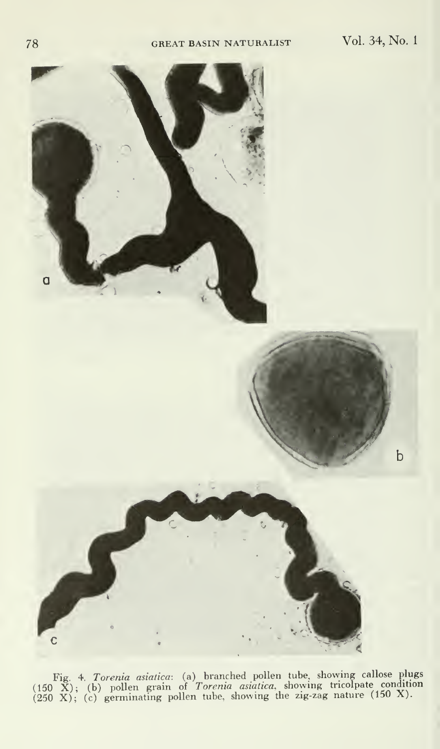

Fig. 4. Torenia asiatica: (a) branched pollen tube, showing callose plugs  $(150 \ X)$ ; (b) pollen grain of Torenia asiatica, showing tricolpate condition (250 X); (c) germinating pollen tube, showing the zig-zag nature (150 X).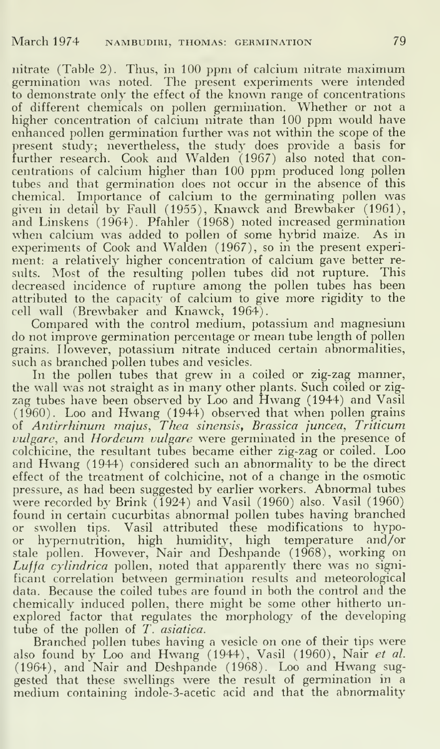nitrate (Table 2). Thus, in 100 ppm of calcium nitrate maximum germination was noted. The present experiments were intended to demonstrate only the effect of the known range of concentrations of different chemicals on pollen germination. Whether or not a higher concentration of calcium nitrate than 100 ppm would have enhanced pollen germination further was not within the scope of the present study; nevertheless, the study does provide a basis for  $\hspace{0.1mm}$ further research. Cook and Walden (1967) also noted that concentrations of calcium higher than 100 ppm produced long pollen tubes and that germination does not occur in the absence of this chemical. Importance of calcium to the germinating pollen was given in detail by Faull (1955), Knawck and Brewbaker (1961), and Linskens (1964). Pfahler (1968) noted increased germination when calcium was added to pollen of some hybrid maize. As in experiments of Cook and Walden (1967), so in the present experiment: a relatively higher concentration of calcium gave better results. Most of the resulting pollen tubes did not rupture. This decreased incidence of rupture among the pollen tubes has been attributed to the capacity of calcium to give more rigidity to the cell wall (Brewbaker and Knawck, 1964).

Compared with the control medium, potassium and magnesium do not improve germination percentage or mean tube length of pollen grains. However, potassium nitrate induced certain abnormalities, such as branched pollen tubes and vesicles.

In the pollen tubes that grew in a coiled or zig-zag manner, the wall was not straight as in many other plants. Such coiled or zigzag tubes have been observed by Loo and Hwang (1944) and Vasil (1960). Loo and Hwang (1944) observed that when pollen grains of Antirrhinum majus, Then sinensis, Brassica juncea, Triticum vulgare, and Hordeum vulgare were germinated in the presence of colchicine, the resultant tubes became either zig-zag or coiled. Loo and Hwang (1944) considered such an abnormality to be the direct effect of the treatment of colchicine, not of a change in the osmotic pressure, as had been suggested by earlier workers. Abnormal tubes were recorded by Brink (1924) and Vasil (1960) also. Vasil (1960) found in certain cucurbitas abnormal pollen tubes having branched or swollen tips. Vasil attributed these modifications to hypoor hypemutrition, high humidity, high temperature and/or stale pollen. However, Nair and Deshpande (1968), working on Luffa cylindrica pollen, noted that apparently there was no significant correlation between germination results and meteorological data. Because the coiled tubes are found in both the control and the chemically induced pollen, there might be some other hitherto unexplored factor that regulates the morphology of the developing tube of the pollen of  $T$ . asiatica.

Branched pollen tubes having a vesicle on one of their tips were also found by Loo and Hwang (1944), Vasil (1960), Nair et al. (1964), and Nair and Deshpande (1968). Loo and Hwang sug gested that these swellings were the result of germination in a medium containing indole-3-acetic acid and that the abnormality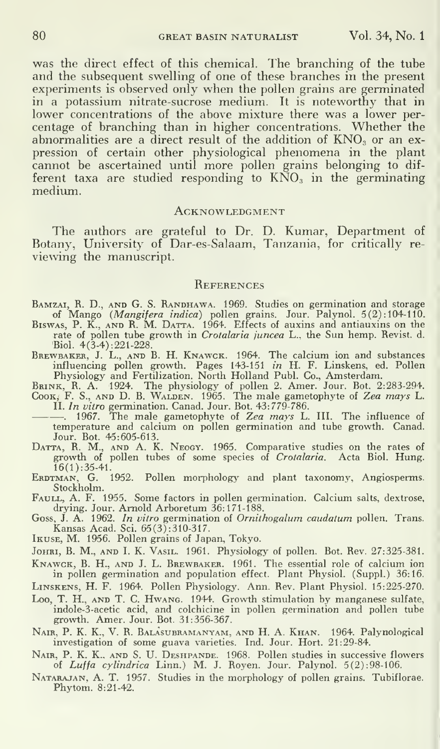was the direct effect of this chemical. The branching of the tube and the subsequent swelling of one of these branches in the present experiments is observed only when the pollen grains are germinated in a potassium nitrate-sucrose medium. It is noteworthy that in lower concentrations of the above mixture there was a lower percentage of branching than in higher concentrations. Whether the abnormalities are a direct result of the addition of  $KNO<sub>3</sub>$  or an expression of certain other physiological phenomena in the plant cannot be ascertained until more pollen grains belonging to dif ferent taxa are studied responding to  $\overrightarrow{KNO_3}$  in the germinating medium.

#### **ACKNOWLEDGMENT**

The authors are grateful to Dr. D. Kumar, Department of Botany, University of Dar-es-Salaam, Tanzania, for critically re viewing the manuscript.

#### **REFERENCES**

BAMZAI, R. D., AND G. S. RANDHAWA. 1969. Studies on germination and storage<br>of Mango (*Mangifera indica*) pollen grains. Jour. Palynol. 5(2):104-110.

Biswas, P. K., AND R. M. DATTA. 1964. Effects of auxins and antiauxins on the rate of pollen tube growth in *Crotalaria juncea* L., the Sun hemp. Revist. d. Biol. 4(3-4) :221-228.

BREWBAKER, J. L., AND B. H. KNAWCK. 1964. The calcium ion and substances<br>influencing pollen growth. Pages 143-151 *in* H. F. Linskens, ed. Pollen<br>Physiology and Fertilization. North Holland Publ. Co., Amsterdam.<br>BRINK, R.

II. In vitro germination. Canad. Jour. Bot. 43:779-786.

-. 1967. The male gametophyte of Zea mays L. III. The influence of temperature and calcium on pollen germination and tube growth. Canad. Jour. Bot. 45:605-613.

Datta, R. M., and A. K. Neogy. 1965. Comparative studies on the rates of growth of pollen tubes of some species of *Crotalaria*. Acta Biol. Hung. 16(1):35-41.

ERDTMAN, G. 1952. Pollen morphology and plant taxonomy, Angiosperms. Stockholm.

FAULL, A. F. 1955. Some factors in pollen germination. Calcium salts, dextrose, drying. Jour. Arnold Arboretum 36:171-188.

Goss, J. A. 1962. *In vitro* germination of *Ornithogalum caudatum* pollen. Trans. Kansas Acad. Sci. 65(3) : 310-31 7. Ikuse, M. 1956. Pollen grains of Japan, Tokyo.

JOHRI, B. M., AND I. K. VASIL. 1961. Physiology of pollen. Bot. Rev. 27:325-381.

Knawck, B. H., and J.L. Brewbaker. 1961. The essential role of calcium ion in pollen germination and population effect. Plant Physiol. (Suppl.) 36:16.

Linskens, H. F. 1964. Pollen Physiology. Ann. Rev. Plant Physiol. 15:225-270.

Loo, T. H., and T. C. Hwang. 1944. Growth stimulation by manganese sulfate, indole-3-acetic acid, and colchicine in pollen germination and pollen tube growth. Amer. Jour. Bot. 31:356-367.

Nair, p. K. K., V. R. Balasubramanyam, and H. A. Khan. 1964. Palynological investigation of some guava varieties. Ind. Jour. Hort. 21:29-84.

Nair, P. K. K., and S. U. Deshpande. 1968. Pollen studies in successive flowers of *Luffa cylindrica* Linn.) M. J. Royen. Jour. Palynol. 5(2):98-106.

Natarajan, a. T. 1957. Studies in the morphology of pollen grains. Tubiflorae. Phytom. 8:21-42.